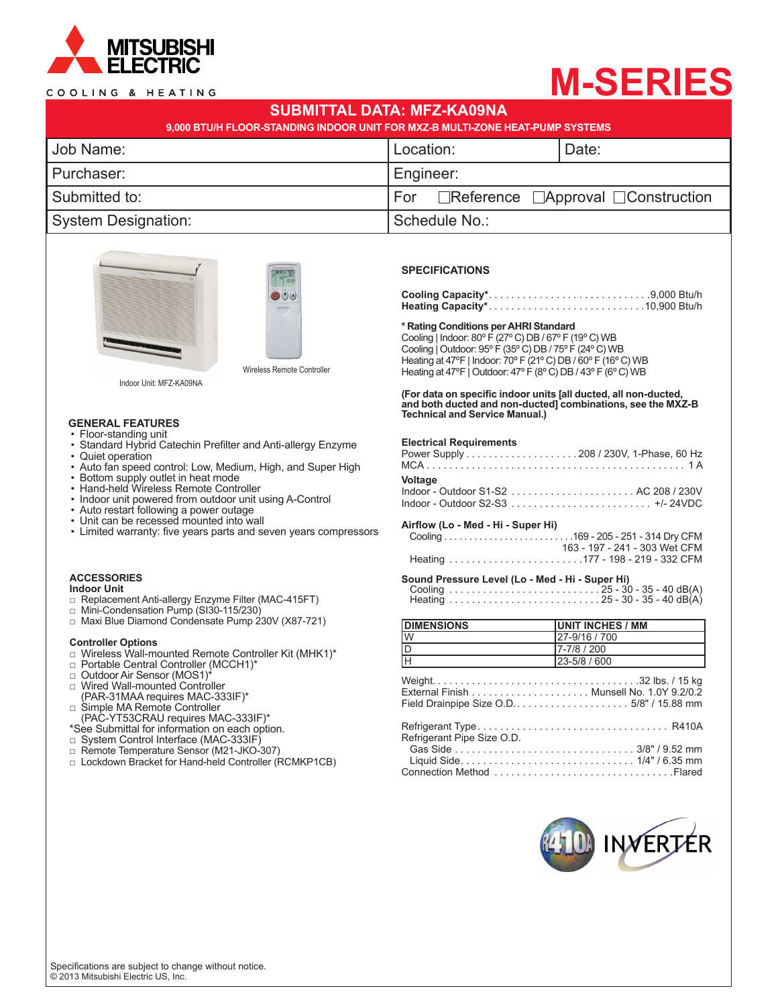

### COOLING & HEATING

# **M-SERIES**

| SUBMITTAL DATA: MFZ-KA09NA<br>9,000 BTU/H FLOOR-STANDING INDOOR UNIT FOR MXZ-B MULTI-ZONE HEAT-PUMP SYSTEMS |                                                      |       |  |  |
|-------------------------------------------------------------------------------------------------------------|------------------------------------------------------|-------|--|--|
| Job Name:                                                                                                   | Location:                                            | Date: |  |  |
| Purchaser:                                                                                                  | Engineer:                                            |       |  |  |
| Submitted to:                                                                                               | $ For$ Reference $\Box$ Approval $\Box$ Construction |       |  |  |
| System Designation:                                                                                         | Schedule No.:                                        |       |  |  |





Indoor Unit: MFZ-KA09NA

## **GENERAL FEATURES**

- Floor-standing unit
- Standard Hybrid Catechin Prefilter and Anti-allergy Enzyme
- Quiet operation
- Auto fan speed control: Low, Medium, High, and Super High
- Bottom supply outlet in heat mode
- Hand-held Wireless Remote Controller
- Indoor unit powered from outdoor unit using A-Control
- Auto restart following a power outage
- Unit can be recessed mounted into wall
- Limited warranty: five years parts and seven years compressors

#### **ACCESSORIES Indoor Unit**

- □ Replacement Anti-allergy Enzyme Filter (MAC-415FT)
- □ Mini-Condensation Pump (SI30-115/230)
- □ Maxi Blue Diamond Condensate Pump 230V (X87-721)

#### **Controller Options**

- □ Wireless Wall-mounted Remote Controller Kit (MHK1)\*
- □ Portable Central Controller (MCCH1)\*<br>□ Outdoor Air Sensor (MOS1)\*
- 
- □ Wired Wall-mounted Controller (PAR-31MAA requires MAC-333IF)\*
- □ Simple MA Remote Controller (PAC-YT53CRAU requires MAC-333IF)\*
- \*See Submittal for information on each option.
- □ System Control Interface (MAC-333IF)
- □ Remote Temperature Sensor (M21-JKO-307)
- □ Lockdown Bracket for Hand-held Controller (RCMKP1CB)

#### **SPECIFICATIONS**

#### **\* Rating Conditions per AHRI Standard**

Cooling | Indoor: 80º F (27º C) DB / 67º F (19º C) WB Cooling | Outdoor: 95º F (35º C) DB / 75º F (24º C) WB Heating at 47ºF | Indoor: 70º F (21º C) DB / 60º F (16º C) WB Heating at 47°F | Outdoor: 47° F (8° C) DB / 43° F (6° C) WB

**(For data on specific indoor units [all ducted, all non-ducted, and both ducted and non-ducted] combinations, see the MXZ-B Technical and Service Manual.)**

#### **Electrical Requirements**

| Voltage |  |
|---------|--|
|         |  |

#### **Airflow (Lo - Med - Hi - Super Hi)**

```
 Cooling . 169 - 205 - 251 - 314 Dry CFM
                     163 - 197 - 241 - 303 Wet CFM
Heating . 177 - 198 - 219 - 332 CFM
```
#### **Sound Pressure Level (Lo - Med - Hi - Super Hi)**

| <b>DIMENSIONS</b>              | <b>UNIT INCHES / MM</b> |
|--------------------------------|-------------------------|
| $\overline{W}$                 | 27-9/16 / 700           |
| $\frac{1}{\frac{1}{\sqrt{1}}}$ | 7-7/8 / 200             |
|                                | 23-5/8 / 600            |
|                                |                         |
| Refrigerant Pipe Size O.D.     |                         |
|                                |                         |